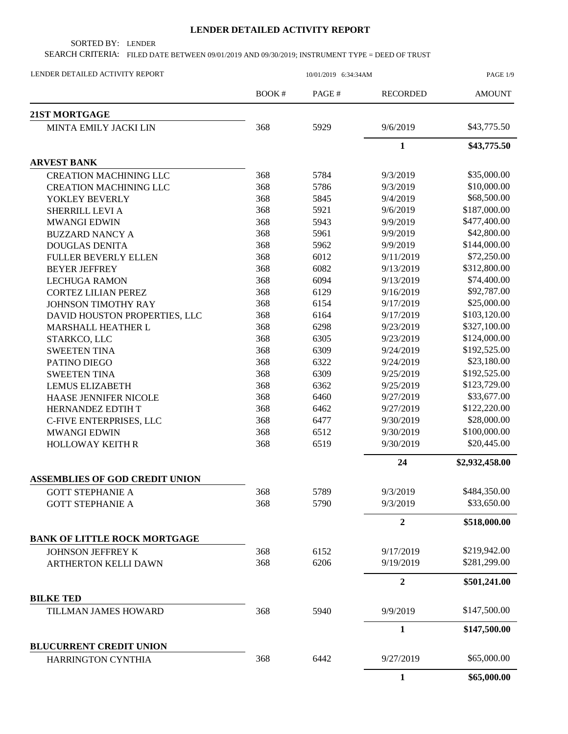## **LENDER DETAILED ACTIVITY REPORT**

SORTED BY: LENDER

SEARCH CRITERIA: FILED DATE BETWEEN 09/01/2019 AND 09/30/2019; INSTRUMENT TYPE = DEED OF TRUST

| LENDER DETAILED ACTIVITY REPORT       | 10/01/2019 6:34:34AM |       |                  | PAGE 1/9       |
|---------------------------------------|----------------------|-------|------------------|----------------|
|                                       | BOOK#                | PAGE# | <b>RECORDED</b>  | <b>AMOUNT</b>  |
| 21ST MORTGAGE                         |                      |       |                  |                |
| MINTA EMILY JACKI LIN                 | 368                  | 5929  | 9/6/2019         | \$43,775.50    |
|                                       |                      |       | $\mathbf{1}$     | \$43,775.50    |
| <b>ARVEST BANK</b>                    |                      |       |                  |                |
| <b>CREATION MACHINING LLC</b>         | 368                  | 5784  | 9/3/2019         | \$35,000.00    |
| <b>CREATION MACHINING LLC</b>         | 368                  | 5786  | 9/3/2019         | \$10,000.00    |
| YOKLEY BEVERLY                        | 368                  | 5845  | 9/4/2019         | \$68,500.00    |
| SHERRILL LEVI A                       | 368                  | 5921  | 9/6/2019         | \$187,000.00   |
| <b>MWANGI EDWIN</b>                   | 368                  | 5943  | 9/9/2019         | \$477,400.00   |
| <b>BUZZARD NANCY A</b>                | 368                  | 5961  | 9/9/2019         | \$42,800.00    |
| <b>DOUGLAS DENITA</b>                 | 368                  | 5962  | 9/9/2019         | \$144,000.00   |
| <b>FULLER BEVERLY ELLEN</b>           | 368                  | 6012  | 9/11/2019        | \$72,250.00    |
| <b>BEYER JEFFREY</b>                  | 368                  | 6082  | 9/13/2019        | \$312,800.00   |
| <b>LECHUGA RAMON</b>                  | 368                  | 6094  | 9/13/2019        | \$74,400.00    |
| <b>CORTEZ LILIAN PEREZ</b>            | 368                  | 6129  | 9/16/2019        | \$92,787.00    |
| JOHNSON TIMOTHY RAY                   | 368                  | 6154  | 9/17/2019        | \$25,000.00    |
| DAVID HOUSTON PROPERTIES, LLC         | 368                  | 6164  | 9/17/2019        | \$103,120.00   |
| MARSHALL HEATHER L                    | 368                  | 6298  | 9/23/2019        | \$327,100.00   |
| STARKCO, LLC                          | 368                  | 6305  | 9/23/2019        | \$124,000.00   |
| <b>SWEETEN TINA</b>                   | 368                  | 6309  | 9/24/2019        | \$192,525.00   |
| PATINO DIEGO                          | 368                  | 6322  | 9/24/2019        | \$23,180.00    |
| <b>SWEETEN TINA</b>                   | 368                  | 6309  | 9/25/2019        | \$192,525.00   |
| <b>LEMUS ELIZABETH</b>                | 368                  | 6362  | 9/25/2019        | \$123,729.00   |
| HAASE JENNIFER NICOLE                 | 368                  | 6460  | 9/27/2019        | \$33,677.00    |
| HERNANDEZ EDTIH T                     | 368                  | 6462  | 9/27/2019        | \$122,220.00   |
| C-FIVE ENTERPRISES, LLC               | 368                  | 6477  | 9/30/2019        | \$28,000.00    |
| <b>MWANGI EDWIN</b>                   | 368                  | 6512  | 9/30/2019        | \$100,000.00   |
| <b>HOLLOWAY KEITH R</b>               | 368                  | 6519  | 9/30/2019        | \$20,445.00    |
|                                       |                      |       | 24               | \$2,932,458.00 |
| <b>ASSEMBLIES OF GOD CREDIT UNION</b> |                      |       |                  |                |
| <b>GOTT STEPHANIE A</b>               | 368                  | 5789  | 9/3/2019         | \$484,350.00   |
| <b>GOTT STEPHANIE A</b>               | 368                  | 5790  | 9/3/2019         | \$33,650.00    |
|                                       |                      |       | $\overline{2}$   | \$518,000.00   |
| <b>BANK OF LITTLE ROCK MORTGAGE</b>   |                      |       |                  |                |
| JOHNSON JEFFREY K                     | 368                  | 6152  | 9/17/2019        | \$219,942.00   |
| <b>ARTHERTON KELLI DAWN</b>           | 368                  | 6206  | 9/19/2019        | \$281,299.00   |
|                                       |                      |       | $\boldsymbol{2}$ | \$501,241.00   |
| <b>BILKE TED</b>                      |                      |       |                  |                |
| TILLMAN JAMES HOWARD                  | 368                  | 5940  | 9/9/2019         | \$147,500.00   |
|                                       |                      |       | $\mathbf{1}$     | \$147,500.00   |
| <b>BLUCURRENT CREDIT UNION</b>        |                      |       |                  |                |
| HARRINGTON CYNTHIA                    | 368                  | 6442  | 9/27/2019        | \$65,000.00    |
|                                       |                      |       | $\mathbf{1}$     | \$65,000.00    |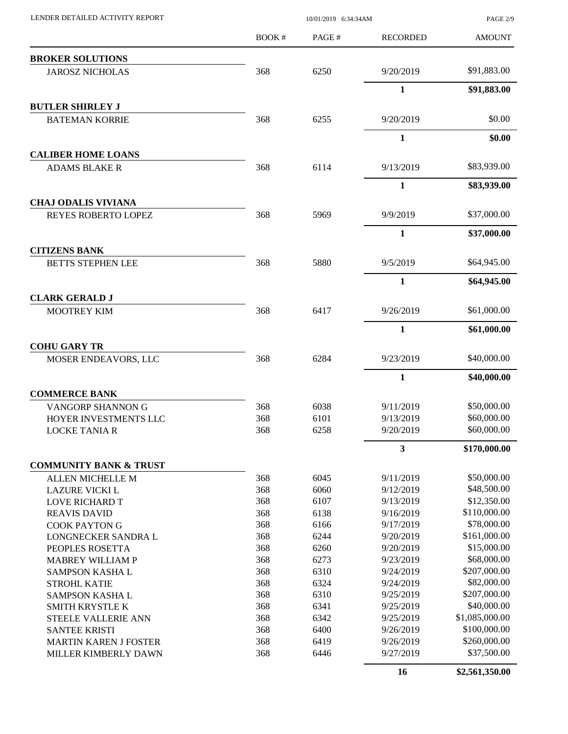| LENDER DETAILED ACTIVITY REPORT                  |       | 10/01/2019 6:34:34AM |                 |                |
|--------------------------------------------------|-------|----------------------|-----------------|----------------|
|                                                  | BOOK# | PAGE#                | <b>RECORDED</b> | <b>AMOUNT</b>  |
| <b>BROKER SOLUTIONS</b>                          |       |                      |                 |                |
| <b>JAROSZ NICHOLAS</b>                           | 368   | 6250                 | 9/20/2019       | \$91,883.00    |
|                                                  |       |                      | $\mathbf{1}$    | \$91,883.00    |
| <b>BUTLER SHIRLEY J</b>                          |       |                      |                 |                |
| <b>BATEMAN KORRIE</b>                            | 368   | 6255                 | 9/20/2019       | \$0.00         |
|                                                  |       |                      | 1               | \$0.00         |
| <b>CALIBER HOME LOANS</b>                        |       |                      |                 |                |
| <b>ADAMS BLAKE R</b>                             | 368   | 6114                 | 9/13/2019       | \$83,939.00    |
|                                                  |       |                      | 1               | \$83,939.00    |
| <b>CHAJ ODALIS VIVIANA</b>                       |       |                      |                 |                |
| <b>REYES ROBERTO LOPEZ</b>                       | 368   | 5969                 | 9/9/2019        | \$37,000.00    |
|                                                  |       |                      | $\mathbf{1}$    | \$37,000.00    |
| <b>CITIZENS BANK</b><br><b>BETTS STEPHEN LEE</b> | 368   | 5880                 | 9/5/2019        | \$64,945.00    |
|                                                  |       |                      | 1               | \$64,945.00    |
| <b>CLARK GERALD J</b>                            |       |                      |                 |                |
| <b>MOOTREY KIM</b>                               | 368   | 6417                 | 9/26/2019       | \$61,000.00    |
|                                                  |       |                      | 1               | \$61,000.00    |
| <b>COHU GARY TR</b>                              |       |                      |                 |                |
| MOSER ENDEAVORS, LLC                             | 368   | 6284                 | 9/23/2019       | \$40,000.00    |
|                                                  |       |                      | $\mathbf{1}$    | \$40,000.00    |
| <b>COMMERCE BANK</b>                             |       |                      |                 |                |
| VANGORP SHANNON G                                | 368   | 6038                 | 9/11/2019       | \$50,000.00    |
| HOYER INVESTMENTS LLC                            | 368   | 6101                 | 9/13/2019       | \$60,000.00    |
| <b>LOCKE TANIA R</b>                             | 368   | 6258                 | 9/20/2019       | \$60,000.00    |
|                                                  |       |                      | 3               | \$170,000.00   |
| <b>COMMUNITY BANK &amp; TRUST</b>                |       |                      |                 |                |
| ALLEN MICHELLE M                                 | 368   | 6045                 | 9/11/2019       | \$50,000.00    |
| <b>LAZURE VICKI L</b>                            | 368   | 6060                 | 9/12/2019       | \$48,500.00    |
| <b>LOVE RICHARD T</b>                            | 368   | 6107                 | 9/13/2019       | \$12,350.00    |
| <b>REAVIS DAVID</b>                              | 368   | 6138                 | 9/16/2019       | \$110,000.00   |
| <b>COOK PAYTON G</b>                             | 368   | 6166                 | 9/17/2019       | \$78,000.00    |
| LONGNECKER SANDRA L                              | 368   | 6244                 | 9/20/2019       | \$161,000.00   |
| PEOPLES ROSETTA                                  | 368   | 6260                 | 9/20/2019       | \$15,000.00    |
| <b>MABREY WILLIAM P</b>                          | 368   | 6273                 | 9/23/2019       | \$68,000.00    |
| SAMPSON KASHA L                                  | 368   | 6310                 | 9/24/2019       | \$207,000.00   |
| <b>STROHL KATIE</b>                              | 368   | 6324                 | 9/24/2019       | \$82,000.00    |
| SAMPSON KASHA L                                  | 368   | 6310                 | 9/25/2019       | \$207,000.00   |
| <b>SMITH KRYSTLE K</b>                           | 368   | 6341                 | 9/25/2019       | \$40,000.00    |
| STEELE VALLERIE ANN                              | 368   | 6342                 | 9/25/2019       | \$1,085,000.00 |
| <b>SANTEE KRISTI</b>                             | 368   | 6400                 | 9/26/2019       | \$100,000.00   |
| <b>MARTIN KAREN J FOSTER</b>                     | 368   | 6419                 | 9/26/2019       | \$260,000.00   |
| MILLER KIMBERLY DAWN                             | 368   | 6446                 | 9/27/2019       | \$37,500.00    |
|                                                  |       |                      | 16              | \$2,561,350.00 |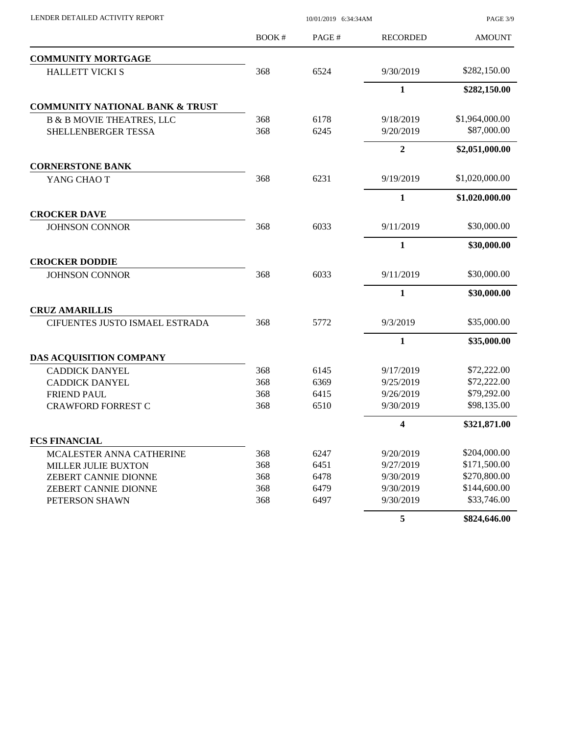| LENDER DETAILED ACTIVITY REPORT            | 10/01/2019 6:34:34AM |       |                         | PAGE 3/9       |
|--------------------------------------------|----------------------|-------|-------------------------|----------------|
|                                            | BOOK#                | PAGE# | <b>RECORDED</b>         | <b>AMOUNT</b>  |
| <b>COMMUNITY MORTGAGE</b>                  |                      |       |                         |                |
| <b>HALLETT VICKI S</b>                     | 368                  | 6524  | 9/30/2019               | \$282,150.00   |
|                                            |                      |       | $\mathbf{1}$            | \$282,150.00   |
| <b>COMMUNITY NATIONAL BANK &amp; TRUST</b> |                      |       |                         |                |
| <b>B &amp; B MOVIE THEATRES, LLC</b>       | 368                  | 6178  | 9/18/2019               | \$1,964,000.00 |
| SHELLENBERGER TESSA                        | 368                  | 6245  | 9/20/2019               | \$87,000.00    |
|                                            |                      |       | $\overline{2}$          | \$2,051,000.00 |
| <b>CORNERSTONE BANK</b>                    |                      |       |                         |                |
| YANG CHAO T                                | 368                  | 6231  | 9/19/2019               | \$1,020,000.00 |
|                                            |                      |       | $\mathbf{1}$            | \$1,020,000.00 |
| <b>CROCKER DAVE</b>                        |                      |       |                         |                |
| <b>JOHNSON CONNOR</b>                      | 368                  | 6033  | 9/11/2019               | \$30,000.00    |
|                                            |                      |       | $\mathbf{1}$            | \$30,000.00    |
| <b>CROCKER DODDIE</b>                      |                      |       |                         |                |
| <b>JOHNSON CONNOR</b>                      | 368                  | 6033  | 9/11/2019               | \$30,000.00    |
|                                            |                      |       | $\mathbf{1}$            | \$30,000.00    |
| <b>CRUZ AMARILLIS</b>                      |                      |       |                         |                |
| CIFUENTES JUSTO ISMAEL ESTRADA             | 368                  | 5772  | 9/3/2019                | \$35,000.00    |
|                                            |                      |       | $\mathbf{1}$            | \$35,000.00    |
| DAS ACQUISITION COMPANY                    |                      |       |                         |                |
| <b>CADDICK DANYEL</b>                      | 368                  | 6145  | 9/17/2019               | \$72,222.00    |
| <b>CADDICK DANYEL</b>                      | 368                  | 6369  | 9/25/2019               | \$72,222.00    |
| <b>FRIEND PAUL</b>                         | 368                  | 6415  | 9/26/2019               | \$79,292.00    |
| <b>CRAWFORD FORREST C</b>                  | 368                  | 6510  | 9/30/2019               | \$98,135.00    |
|                                            |                      |       | $\overline{\mathbf{4}}$ | \$321,871.00   |
| <b>FCS FINANCIAL</b>                       |                      |       |                         |                |
| MCALESTER ANNA CATHERINE                   | 368                  | 6247  | 9/20/2019               | \$204,000.00   |
| <b>MILLER JULIE BUXTON</b>                 | 368                  | 6451  | 9/27/2019               | \$171,500.00   |
| ZEBERT CANNIE DIONNE                       | 368                  | 6478  | 9/30/2019               | \$270,800.00   |
| ZEBERT CANNIE DIONNE                       | 368                  | 6479  | 9/30/2019               | \$144,600.00   |
| PETERSON SHAWN                             | 368                  | 6497  | 9/30/2019               | \$33,746.00    |
|                                            |                      |       | 5                       | \$824,646.00   |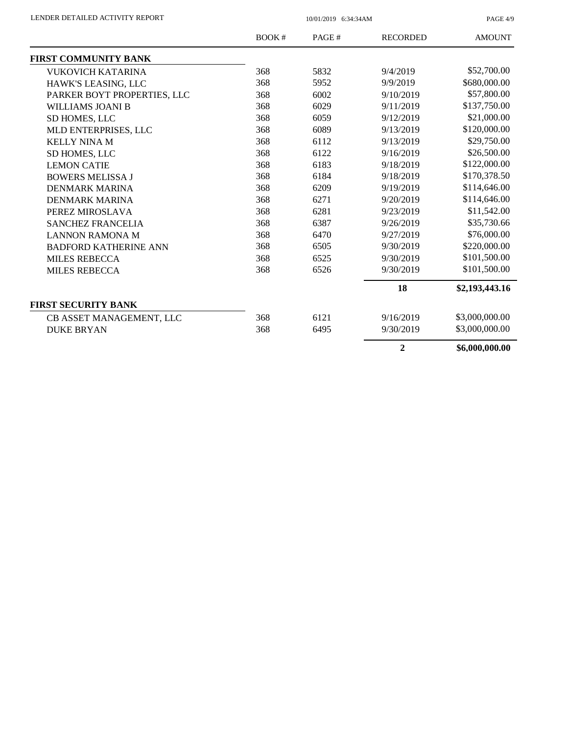PAGE 4/9

|                              | BOOK# | PAGE# | <b>RECORDED</b> | <b>AMOUNT</b>  |
|------------------------------|-------|-------|-----------------|----------------|
| FIRST COMMUNITY BANK         |       |       |                 |                |
| <b>VUKOVICH KATARINA</b>     | 368   | 5832  | 9/4/2019        | \$52,700.00    |
| HAWK'S LEASING, LLC          | 368   | 5952  | 9/9/2019        | \$680,000.00   |
| PARKER BOYT PROPERTIES, LLC  | 368   | 6002  | 9/10/2019       | \$57,800.00    |
| WILLIAMS JOANI B             | 368   | 6029  | 9/11/2019       | \$137,750.00   |
| SD HOMES, LLC                | 368   | 6059  | 9/12/2019       | \$21,000.00    |
| MLD ENTERPRISES, LLC         | 368   | 6089  | 9/13/2019       | \$120,000.00   |
| <b>KELLY NINA M</b>          | 368   | 6112  | 9/13/2019       | \$29,750.00    |
| SD HOMES, LLC                | 368   | 6122  | 9/16/2019       | \$26,500.00    |
| <b>LEMON CATIE</b>           | 368   | 6183  | 9/18/2019       | \$122,000.00   |
| <b>BOWERS MELISSA J</b>      | 368   | 6184  | 9/18/2019       | \$170,378.50   |
| <b>DENMARK MARINA</b>        | 368   | 6209  | 9/19/2019       | \$114,646.00   |
| <b>DENMARK MARINA</b>        | 368   | 6271  | 9/20/2019       | \$114,646.00   |
| PEREZ MIROSLAVA              | 368   | 6281  | 9/23/2019       | \$11,542.00    |
| <b>SANCHEZ FRANCELIA</b>     | 368   | 6387  | 9/26/2019       | \$35,730.66    |
| <b>LANNON RAMONA M</b>       | 368   | 6470  | 9/27/2019       | \$76,000.00    |
| <b>BADFORD KATHERINE ANN</b> | 368   | 6505  | 9/30/2019       | \$220,000.00   |
| <b>MILES REBECCA</b>         | 368   | 6525  | 9/30/2019       | \$101,500.00   |
| <b>MILES REBECCA</b>         | 368   | 6526  | 9/30/2019       | \$101,500.00   |
|                              |       |       | 18              | \$2,193,443.16 |
| <b>FIRST SECURITY BANK</b>   |       |       |                 |                |
| CB ASSET MANAGEMENT, LLC     | 368   | 6121  | 9/16/2019       | \$3,000,000.00 |
| <b>DUKE BRYAN</b>            | 368   | 6495  | 9/30/2019       | \$3,000,000.00 |
|                              |       |       | $\overline{2}$  | \$6,000,000.00 |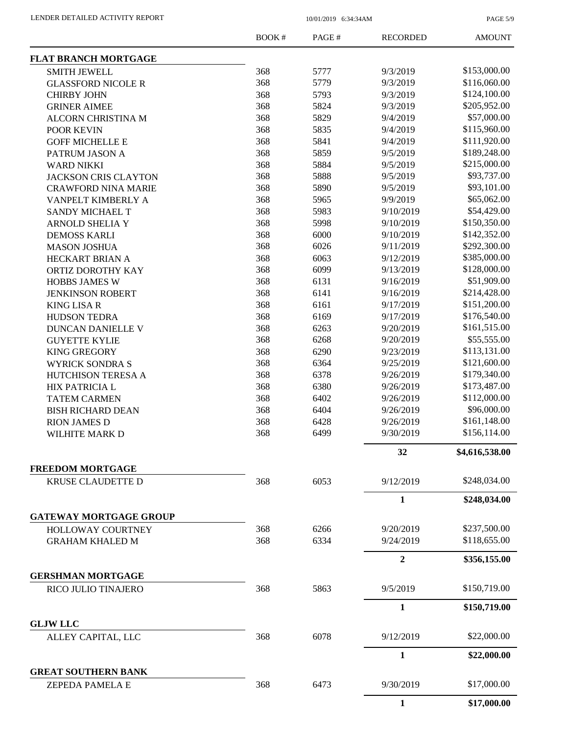PAGE 5/9

|                                              | <b>BOOK#</b> | PAGE# | <b>RECORDED</b> | <b>AMOUNT</b>  |
|----------------------------------------------|--------------|-------|-----------------|----------------|
| <b>FLAT BRANCH MORTGAGE</b>                  |              |       |                 |                |
| <b>SMITH JEWELL</b>                          | 368          | 5777  | 9/3/2019        | \$153,000.00   |
| <b>GLASSFORD NICOLE R</b>                    | 368          | 5779  | 9/3/2019        | \$116,060.00   |
| <b>CHIRBY JOHN</b>                           | 368          | 5793  | 9/3/2019        | \$124,100.00   |
| <b>GRINER AIMEE</b>                          | 368          | 5824  | 9/3/2019        | \$205,952.00   |
| ALCORN CHRISTINA M                           | 368          | 5829  | 9/4/2019        | \$57,000.00    |
| <b>POOR KEVIN</b>                            | 368          | 5835  | 9/4/2019        | \$115,960.00   |
| <b>GOFF MICHELLE E</b>                       | 368          | 5841  | 9/4/2019        | \$111,920.00   |
| PATRUM JASON A                               | 368          | 5859  | 9/5/2019        | \$189,248.00   |
| <b>WARD NIKKI</b>                            | 368          | 5884  | 9/5/2019        | \$215,000.00   |
| <b>JACKSON CRIS CLAYTON</b>                  | 368          | 5888  | 9/5/2019        | \$93,737.00    |
| <b>CRAWFORD NINA MARIE</b>                   | 368          | 5890  | 9/5/2019        | \$93,101.00    |
| VANPELT KIMBERLY A                           | 368          | 5965  | 9/9/2019        | \$65,062.00    |
| SANDY MICHAEL T                              | 368          | 5983  | 9/10/2019       | \$54,429.00    |
| <b>ARNOLD SHELIA Y</b>                       | 368          | 5998  | 9/10/2019       | \$150,350.00   |
| <b>DEMOSS KARLI</b>                          | 368          | 6000  | 9/10/2019       | \$142,352.00   |
| <b>MASON JOSHUA</b>                          | 368          | 6026  | 9/11/2019       | \$292,300.00   |
| HECKART BRIAN A                              | 368          | 6063  | 9/12/2019       | \$385,000.00   |
| ORTIZ DOROTHY KAY                            | 368          | 6099  | 9/13/2019       | \$128,000.00   |
| <b>HOBBS JAMES W</b>                         | 368          | 6131  | 9/16/2019       | \$51,909.00    |
| <b>JENKINSON ROBERT</b>                      | 368          | 6141  | 9/16/2019       | \$214,428.00   |
|                                              | 368          | 6161  | 9/17/2019       | \$151,200.00   |
| <b>KING LISA R</b>                           | 368          | 6169  | 9/17/2019       | \$176,540.00   |
| <b>HUDSON TEDRA</b>                          | 368          |       |                 | \$161,515.00   |
| DUNCAN DANIELLE V                            |              | 6263  | 9/20/2019       |                |
| <b>GUYETTE KYLIE</b>                         | 368          | 6268  | 9/20/2019       | \$55,555.00    |
| <b>KING GREGORY</b>                          | 368          | 6290  | 9/23/2019       | \$113,131.00   |
| <b>WYRICK SONDRA S</b>                       | 368          | 6364  | 9/25/2019       | \$121,600.00   |
| HUTCHISON TERESA A                           | 368          | 6378  | 9/26/2019       | \$179,340.00   |
| HIX PATRICIA L                               | 368          | 6380  | 9/26/2019       | \$173,487.00   |
| <b>TATEM CARMEN</b>                          | 368          | 6402  | 9/26/2019       | \$112,000.00   |
| <b>BISH RICHARD DEAN</b>                     | 368          | 6404  | 9/26/2019       | \$96,000.00    |
| <b>RION JAMES D</b>                          | 368          | 6428  | 9/26/2019       | \$161,148.00   |
| WILHITE MARK D                               | 368          | 6499  | 9/30/2019       | \$156,114.00   |
|                                              |              |       | 32              | \$4,616,538.00 |
| <b>FREEDOM MORTGAGE</b><br>KRUSE CLAUDETTE D | 368          | 6053  | 9/12/2019       | \$248,034.00   |
|                                              |              |       | $\mathbf{1}$    | \$248,034.00   |
| <b>GATEWAY MORTGAGE GROUP</b>                |              |       |                 |                |
| <b>HOLLOWAY COURTNEY</b>                     | 368          | 6266  | 9/20/2019       | \$237,500.00   |
| <b>GRAHAM KHALED M</b>                       | 368          | 6334  | 9/24/2019       | \$118,655.00   |
|                                              |              |       | $\mathbf{2}$    | \$356,155.00   |
| <b>GERSHMAN MORTGAGE</b>                     |              |       |                 |                |
| RICO JULIO TINAJERO                          | 368          | 5863  | 9/5/2019        | \$150,719.00   |
|                                              |              |       | $\mathbf{1}$    | \$150,719.00   |
| <b>GLJW LLC</b>                              |              |       |                 |                |
| ALLEY CAPITAL, LLC                           | 368          | 6078  | 9/12/2019       | \$22,000.00    |
|                                              |              |       | $\mathbf{1}$    | \$22,000.00    |
| <b>GREAT SOUTHERN BANK</b>                   |              |       |                 |                |
| <b>ZEPEDA PAMELA E</b>                       | 368          | 6473  | 9/30/2019       | \$17,000.00    |
|                                              |              |       | $\mathbf{1}$    | \$17,000.00    |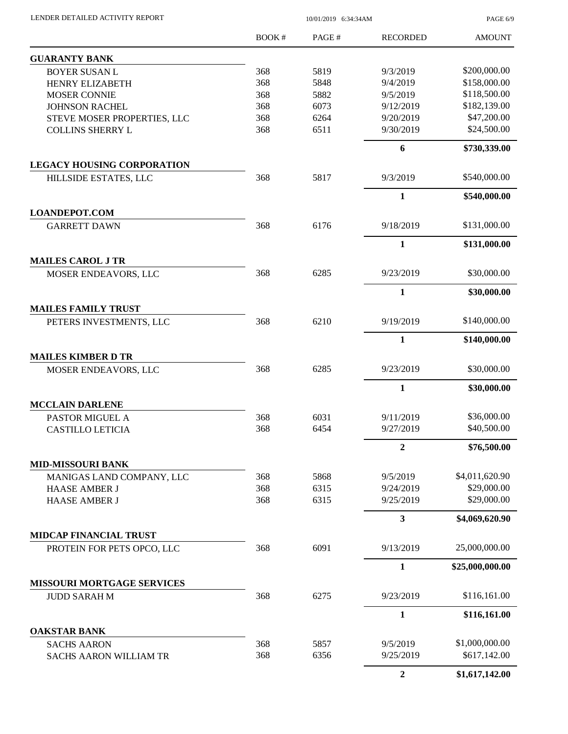| LENDER DETAILED ACTIVITY REPORT                            |       | PAGE 6/9 |                           |                 |
|------------------------------------------------------------|-------|----------|---------------------------|-----------------|
|                                                            | BOOK# | PAGE#    | <b>RECORDED</b>           | <b>AMOUNT</b>   |
| <b>GUARANTY BANK</b>                                       |       |          |                           |                 |
| <b>BOYER SUSAN L</b>                                       | 368   | 5819     | 9/3/2019                  | \$200,000.00    |
| HENRY ELIZABETH                                            | 368   | 5848     | 9/4/2019                  | \$158,000.00    |
| <b>MOSER CONNIE</b>                                        | 368   | 5882     | 9/5/2019                  | \$118,500.00    |
| <b>JOHNSON RACHEL</b>                                      | 368   | 6073     | 9/12/2019                 | \$182,139.00    |
| STEVE MOSER PROPERTIES, LLC                                | 368   | 6264     | 9/20/2019                 | \$47,200.00     |
| <b>COLLINS SHERRY L</b>                                    | 368   | 6511     | 9/30/2019                 | \$24,500.00     |
|                                                            |       |          | 6                         | \$730,339.00    |
| <b>LEGACY HOUSING CORPORATION</b><br>HILLSIDE ESTATES, LLC | 368   | 5817     | 9/3/2019                  | \$540,000.00    |
|                                                            |       |          | $\mathbf{1}$              | \$540,000.00    |
| <b>LOANDEPOT.COM</b>                                       |       |          |                           |                 |
| <b>GARRETT DAWN</b>                                        | 368   | 6176     | 9/18/2019                 | \$131,000.00    |
|                                                            |       |          | 1                         | \$131,000.00    |
| <b>MAILES CAROL J TR</b>                                   |       |          |                           | \$30,000.00     |
| MOSER ENDEAVORS, LLC                                       | 368   | 6285     | 9/23/2019<br>$\mathbf{1}$ | \$30,000.00     |
| <b>MAILES FAMILY TRUST</b>                                 |       |          |                           |                 |
| PETERS INVESTMENTS, LLC                                    | 368   | 6210     | 9/19/2019                 | \$140,000.00    |
|                                                            |       |          | $\mathbf{1}$              | \$140,000.00    |
| <b>MAILES KIMBER D TR</b>                                  |       |          |                           |                 |
| MOSER ENDEAVORS, LLC                                       | 368   | 6285     | 9/23/2019                 | \$30,000.00     |
|                                                            |       |          | 1                         | \$30,000.00     |
| <b>MCCLAIN DARLENE</b>                                     |       |          |                           |                 |
| PASTOR MIGUEL A                                            | 368   | 6031     | 9/11/2019                 | \$36,000.00     |
| <b>CASTILLO LETICIA</b>                                    | 368   | 6454     | 9/27/2019                 | \$40,500.00     |
|                                                            |       |          | $\overline{2}$            | \$76,500.00     |
| <b>MID-MISSOURI BANK</b><br>MANIGAS LAND COMPANY, LLC      | 368   | 5868     | 9/5/2019                  | \$4,011,620.90  |
| <b>HAASE AMBER J</b>                                       | 368   | 6315     | 9/24/2019                 | \$29,000.00     |
| <b>HAASE AMBER J</b>                                       | 368   | 6315     | 9/25/2019                 | \$29,000.00     |
|                                                            |       |          | $\mathbf{3}$              | \$4,069,620.90  |
| <b>MIDCAP FINANCIAL TRUST</b>                              |       |          |                           |                 |
| PROTEIN FOR PETS OPCO, LLC                                 | 368   | 6091     | 9/13/2019                 | 25,000,000.00   |
|                                                            |       |          | $\mathbf{1}$              | \$25,000,000.00 |
| MISSOURI MORTGAGE SERVICES                                 |       |          |                           |                 |
| <b>JUDD SARAH M</b>                                        | 368   | 6275     | 9/23/2019                 | \$116,161.00    |
| <b>OAKSTAR BANK</b>                                        |       |          | $\mathbf{1}$              | \$116,161.00    |
| <b>SACHS AARON</b>                                         | 368   | 5857     | 9/5/2019                  | \$1,000,000.00  |
| <b>SACHS AARON WILLIAM TR</b>                              | 368   | 6356     | 9/25/2019                 | \$617,142.00    |
|                                                            |       |          |                           |                 |

**2 \$1,617,142.00**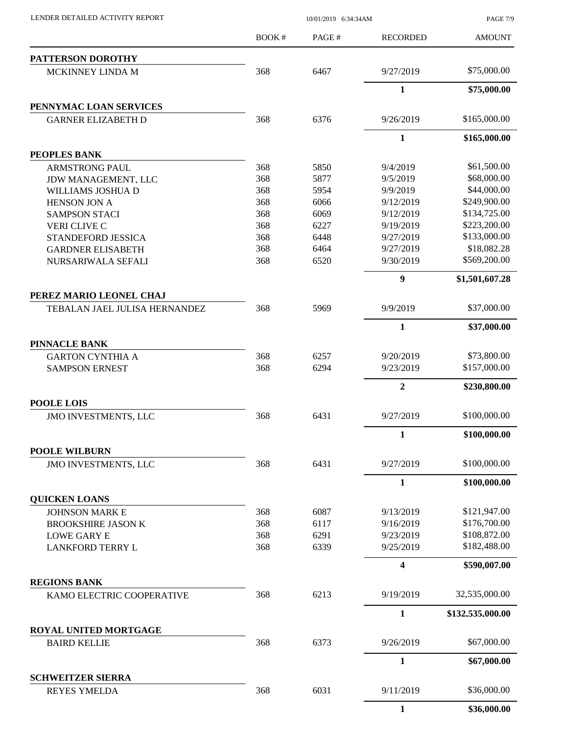LENDER DETAILED ACTIVITY REPORT 10/01/2019 6:34:34AM

PAGE 7/9

|                                                  | BOOK#      | PAGE# | <b>RECORDED</b>         | <b>AMOUNT</b>    |
|--------------------------------------------------|------------|-------|-------------------------|------------------|
| PATTERSON DOROTHY                                |            |       |                         |                  |
| MCKINNEY LINDA M                                 | 368        | 6467  | 9/27/2019               | \$75,000.00      |
|                                                  |            |       | $\mathbf{1}$            | \$75,000.00      |
| PENNYMAC LOAN SERVICES                           |            |       |                         |                  |
| <b>GARNER ELIZABETH D</b>                        | 368        | 6376  | 9/26/2019               | \$165,000.00     |
|                                                  |            |       | 1                       | \$165,000.00     |
| PEOPLES BANK                                     |            |       |                         |                  |
| <b>ARMSTRONG PAUL</b>                            | 368        | 5850  | 9/4/2019                | \$61,500.00      |
| JDW MANAGEMENT, LLC                              | 368        | 5877  | 9/5/2019                | \$68,000.00      |
| WILLIAMS JOSHUA D                                | 368        | 5954  | 9/9/2019                | \$44,000.00      |
| <b>HENSON JON A</b>                              | 368        | 6066  | 9/12/2019               | \$249,900.00     |
| <b>SAMPSON STACI</b>                             | 368        | 6069  | 9/12/2019               | \$134,725.00     |
| <b>VERI CLIVE C</b>                              | 368        | 6227  | 9/19/2019               | \$223,200.00     |
| STANDEFORD JESSICA                               | 368        | 6448  | 9/27/2019               | \$133,000.00     |
| <b>GARDNER ELISABETH</b>                         | 368        | 6464  | 9/27/2019               | \$18,082.28      |
| NURSARIWALA SEFALI                               | 368        | 6520  | 9/30/2019               | \$569,200.00     |
|                                                  |            |       | $\boldsymbol{9}$        | \$1,501,607.28   |
| PEREZ MARIO LEONEL CHAJ                          |            |       |                         | \$37,000.00      |
| TEBALAN JAEL JULISA HERNANDEZ                    | 368        | 5969  | 9/9/2019                |                  |
| PINNACLE BANK                                    |            |       | $\mathbf{1}$            | \$37,000.00      |
|                                                  |            |       |                         | \$73,800.00      |
| <b>GARTON CYNTHIA A</b>                          | 368<br>368 | 6257  | 9/20/2019               | \$157,000.00     |
| <b>SAMPSON ERNEST</b>                            |            | 6294  | 9/23/2019               |                  |
|                                                  |            |       | $\overline{2}$          | \$230,800.00     |
| <b>POOLE LOIS</b><br><b>JMO INVESTMENTS, LLC</b> | 368        | 6431  | 9/27/2019               | \$100,000.00     |
|                                                  |            |       | $\mathbf{1}$            | \$100,000.00     |
| <b>POOLE WILBURN</b>                             |            |       |                         |                  |
| JMO INVESTMENTS, LLC                             | 368        | 6431  | 9/27/2019               | \$100,000.00     |
|                                                  |            |       | $\mathbf{1}$            | \$100,000.00     |
| <b>QUICKEN LOANS</b>                             |            |       |                         |                  |
| <b>JOHNSON MARK E</b>                            | 368        | 6087  | 9/13/2019               | \$121,947.00     |
| <b>BROOKSHIRE JASON K</b>                        | 368        | 6117  | 9/16/2019               | \$176,700.00     |
| <b>LOWE GARY E</b>                               | 368        | 6291  | 9/23/2019               | \$108,872.00     |
| <b>LANKFORD TERRY L</b>                          | 368        | 6339  | 9/25/2019               | \$182,488.00     |
|                                                  |            |       | $\overline{\mathbf{4}}$ | \$590,007.00     |
| <b>REGIONS BANK</b>                              |            |       |                         |                  |
| KAMO ELECTRIC COOPERATIVE                        | 368        | 6213  | 9/19/2019               | 32,535,000.00    |
|                                                  |            |       | $\mathbf{1}$            | \$132,535,000.00 |
| ROYAL UNITED MORTGAGE                            |            |       |                         |                  |
| <b>BAIRD KELLIE</b>                              | 368        | 6373  | 9/26/2019               | \$67,000.00      |
|                                                  |            |       | $\mathbf{1}$            | \$67,000.00      |
| <b>SCHWEITZER SIERRA</b><br><b>REYES YMELDA</b>  | 368        | 6031  | 9/11/2019               | \$36,000.00      |
|                                                  |            |       | $\mathbf{1}$            | \$36,000.00      |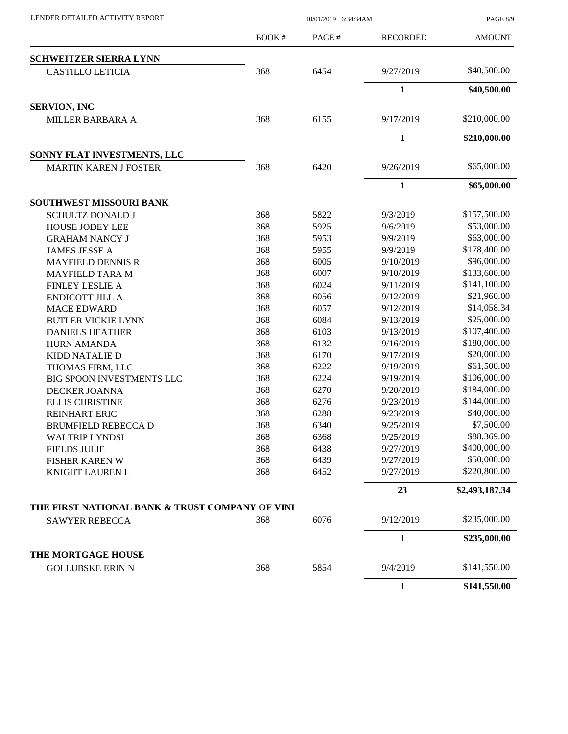LENDER DETAILED ACTIVITY REPORT 10/01/2019 6:34:34AM

PAGE 8/9

|                                                 | BOOK# | PAGE# | <b>RECORDED</b>                                                                                                                                                                                                                                                                                                                                                                                  | <b>AMOUNT</b>  |
|-------------------------------------------------|-------|-------|--------------------------------------------------------------------------------------------------------------------------------------------------------------------------------------------------------------------------------------------------------------------------------------------------------------------------------------------------------------------------------------------------|----------------|
| <b>SCHWEITZER SIERRA LYNN</b>                   |       |       |                                                                                                                                                                                                                                                                                                                                                                                                  |                |
| <b>CASTILLO LETICIA</b>                         | 368   | 6454  | 9/27/2019<br>$\mathbf{1}$<br>9/17/2019<br>$\mathbf{1}$<br>9/26/2019<br>$\mathbf{1}$<br>9/3/2019<br>9/6/2019<br>9/9/2019<br>9/9/2019<br>9/10/2019<br>9/10/2019<br>9/11/2019<br>9/12/2019<br>9/12/2019<br>9/13/2019<br>9/13/2019<br>9/16/2019<br>9/17/2019<br>9/19/2019<br>9/19/2019<br>9/20/2019<br>9/23/2019<br>9/23/2019<br>9/25/2019<br>9/25/2019<br>9/27/2019<br>9/27/2019<br>9/27/2019<br>23 | \$40,500.00    |
|                                                 |       |       |                                                                                                                                                                                                                                                                                                                                                                                                  | \$40,500.00    |
| <b>SERVION, INC</b>                             |       |       |                                                                                                                                                                                                                                                                                                                                                                                                  |                |
| MILLER BARBARA A                                | 368   | 6155  |                                                                                                                                                                                                                                                                                                                                                                                                  | \$210,000.00   |
|                                                 |       |       |                                                                                                                                                                                                                                                                                                                                                                                                  | \$210,000.00   |
| SONNY FLAT INVESTMENTS, LLC                     |       |       |                                                                                                                                                                                                                                                                                                                                                                                                  |                |
| <b>MARTIN KAREN J FOSTER</b>                    | 368   | 6420  |                                                                                                                                                                                                                                                                                                                                                                                                  | \$65,000.00    |
|                                                 |       |       |                                                                                                                                                                                                                                                                                                                                                                                                  | \$65,000.00    |
| SOUTHWEST MISSOURI BANK                         |       |       |                                                                                                                                                                                                                                                                                                                                                                                                  |                |
| <b>SCHULTZ DONALD J</b>                         | 368   | 5822  |                                                                                                                                                                                                                                                                                                                                                                                                  | \$157,500.00   |
| HOUSE JODEY LEE                                 | 368   | 5925  |                                                                                                                                                                                                                                                                                                                                                                                                  | \$53,000.00    |
| <b>GRAHAM NANCY J</b>                           | 368   | 5953  |                                                                                                                                                                                                                                                                                                                                                                                                  | \$63,000.00    |
| <b>JAMES JESSE A</b>                            | 368   | 5955  |                                                                                                                                                                                                                                                                                                                                                                                                  | \$178,400.00   |
| <b>MAYFIELD DENNIS R</b>                        | 368   | 6005  |                                                                                                                                                                                                                                                                                                                                                                                                  | \$96,000.00    |
| <b>MAYFIELD TARA M</b>                          | 368   | 6007  |                                                                                                                                                                                                                                                                                                                                                                                                  | \$133,600.00   |
| <b>FINLEY LESLIE A</b>                          | 368   | 6024  |                                                                                                                                                                                                                                                                                                                                                                                                  | \$141,100.00   |
| <b>ENDICOTT JILL A</b>                          | 368   | 6056  |                                                                                                                                                                                                                                                                                                                                                                                                  | \$21,960.00    |
| <b>MACE EDWARD</b>                              | 368   | 6057  |                                                                                                                                                                                                                                                                                                                                                                                                  | \$14,058.34    |
| <b>BUTLER VICKIE LYNN</b>                       | 368   | 6084  |                                                                                                                                                                                                                                                                                                                                                                                                  | \$25,000.00    |
| <b>DANIELS HEATHER</b>                          | 368   | 6103  |                                                                                                                                                                                                                                                                                                                                                                                                  | \$107,400.00   |
| <b>HURN AMANDA</b>                              | 368   | 6132  |                                                                                                                                                                                                                                                                                                                                                                                                  | \$180,000.00   |
| <b>KIDD NATALIE D</b>                           | 368   | 6170  |                                                                                                                                                                                                                                                                                                                                                                                                  | \$20,000.00    |
| THOMAS FIRM, LLC                                | 368   | 6222  |                                                                                                                                                                                                                                                                                                                                                                                                  | \$61,500.00    |
| <b>BIG SPOON INVESTMENTS LLC</b>                | 368   | 6224  |                                                                                                                                                                                                                                                                                                                                                                                                  | \$106,000.00   |
| DECKER JOANNA                                   | 368   | 6270  |                                                                                                                                                                                                                                                                                                                                                                                                  | \$184,000.00   |
| <b>ELLIS CHRISTINE</b>                          | 368   | 6276  |                                                                                                                                                                                                                                                                                                                                                                                                  | \$144,000.00   |
| <b>REINHART ERIC</b>                            | 368   | 6288  |                                                                                                                                                                                                                                                                                                                                                                                                  | \$40,000.00    |
| <b>BRUMFIELD REBECCA D</b>                      | 368   | 6340  |                                                                                                                                                                                                                                                                                                                                                                                                  | \$7,500.00     |
| <b>WALTRIP LYNDSI</b>                           | 368   | 6368  |                                                                                                                                                                                                                                                                                                                                                                                                  | \$88,369.00    |
| <b>FIELDS JULIE</b>                             | 368   | 6438  |                                                                                                                                                                                                                                                                                                                                                                                                  | \$400,000.00   |
| <b>FISHER KAREN W</b>                           | 368   | 6439  |                                                                                                                                                                                                                                                                                                                                                                                                  | \$50,000.00    |
| KNIGHT LAUREN L                                 | 368   | 6452  |                                                                                                                                                                                                                                                                                                                                                                                                  | \$220,800.00   |
|                                                 |       |       |                                                                                                                                                                                                                                                                                                                                                                                                  | \$2,493,187.34 |
| THE FIRST NATIONAL BANK & TRUST COMPANY OF VINI |       |       |                                                                                                                                                                                                                                                                                                                                                                                                  |                |
| <b>SAWYER REBECCA</b>                           | 368   | 6076  | 9/12/2019                                                                                                                                                                                                                                                                                                                                                                                        | \$235,000.00   |
|                                                 |       |       | $\mathbf{1}$                                                                                                                                                                                                                                                                                                                                                                                     | \$235,000.00   |
| THE MORTGAGE HOUSE                              |       |       |                                                                                                                                                                                                                                                                                                                                                                                                  |                |
| <b>GOLLUBSKE ERIN N</b>                         | 368   | 5854  | 9/4/2019                                                                                                                                                                                                                                                                                                                                                                                         | \$141,550.00   |
|                                                 |       |       | $\mathbf{1}$                                                                                                                                                                                                                                                                                                                                                                                     | \$141,550.00   |